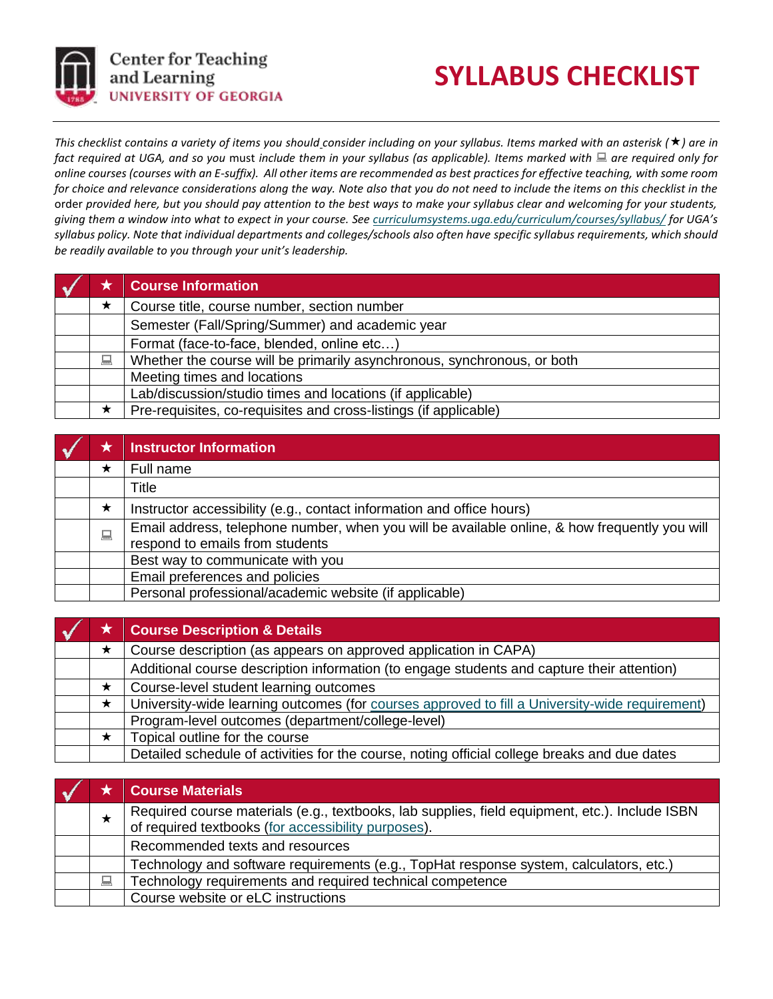

## **SYLLABUS CHECKLIST**

*This checklist contains a variety of items you should consider including on your syllabus. Items marked with an asterisk (★) are in* fact required at UGA, and so you must include them in your syllabus (as applicable). Items marked with **and are required only for** *online courses (courses with an E-suffix). All other items are recommended as best practices for effective teaching, with some room for choice and relevance considerations along the way. Note also that you do not need to include the items on this checklist in the*  order *provided here, but you should pay attention to the best ways to make your syllabus clear and welcoming for your students, giving them a window into what to expect in your course. Se[e curriculumsystems.uga.edu/curriculum/courses/syllabus/](https://curriculumsystems.uga.edu/curriculum/courses/syllabus/) for UGA's syllabus policy. Note that individual departments and colleges/schools also often have specific syllabus requirements, which should be readily available to you through your unit's leadership.*

|   | <b>Course Information</b>                                               |
|---|-------------------------------------------------------------------------|
| ★ | Course title, course number, section number                             |
|   | Semester (Fall/Spring/Summer) and academic year                         |
|   | Format (face-to-face, blended, online etc)                              |
| 鳳 | Whether the course will be primarily asynchronous, synchronous, or both |
|   | Meeting times and locations                                             |
|   | Lab/discussion/studio times and locations (if applicable)               |
|   | Pre-requisites, co-requisites and cross-listings (if applicable)        |

|   | <b>Instructor Information</b>                                                                                                    |
|---|----------------------------------------------------------------------------------------------------------------------------------|
| ★ | Full name                                                                                                                        |
|   | <b>Title</b>                                                                                                                     |
| ★ | Instructor accessibility (e.g., contact information and office hours)                                                            |
| 鳳 | Email address, telephone number, when you will be available online, & how frequently you will<br>respond to emails from students |
|   | Best way to communicate with you                                                                                                 |
|   | Email preferences and policies                                                                                                   |
|   | Personal professional/academic website (if applicable)                                                                           |

|         | <b>★ Course Description &amp; Details</b>                                                      |
|---------|------------------------------------------------------------------------------------------------|
| ★       | Course description (as appears on approved application in CAPA)                                |
|         | Additional course description information (to engage students and capture their attention)     |
| ★       | Course-level student learning outcomes                                                         |
| $\star$ | University-wide learning outcomes (for courses approved to fill a University-wide requirement) |
|         | Program-level outcomes (department/college-level)                                              |
| $\star$ | Topical outline for the course                                                                 |
|         | Detailed schedule of activities for the course, noting official college breaks and due dates   |

|   | <b>Course Materials</b>                                                                                                                            |
|---|----------------------------------------------------------------------------------------------------------------------------------------------------|
|   | Required course materials (e.g., textbooks, lab supplies, field equipment, etc.). Include ISBN of required textbooks (for accessibility purposes). |
|   | Recommended texts and resources                                                                                                                    |
|   | Technology and software requirements (e.g., TopHat response system, calculators, etc.)                                                             |
| 昌 | Technology requirements and required technical competence                                                                                          |
|   | Course website or eLC instructions                                                                                                                 |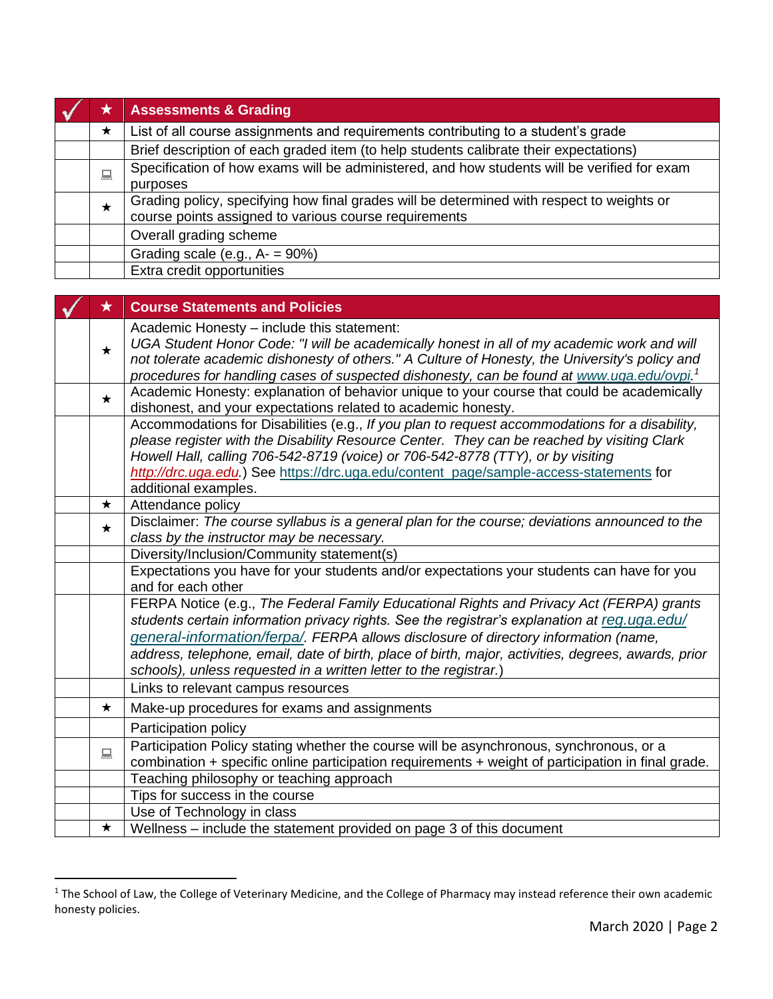| ★ | <b>Assessments &amp; Grading</b>                                                                                                                   |
|---|----------------------------------------------------------------------------------------------------------------------------------------------------|
| ★ | List of all course assignments and requirements contributing to a student's grade                                                                  |
|   | Brief description of each graded item (to help students calibrate their expectations)                                                              |
| 口 | Specification of how exams will be administered, and how students will be verified for exam<br>purposes                                            |
| ★ | Grading policy, specifying how final grades will be determined with respect to weights or<br>course points assigned to various course requirements |
|   | Overall grading scheme                                                                                                                             |
|   | Grading scale (e.g., $A = 90\%$ )                                                                                                                  |
|   | Extra credit opportunities                                                                                                                         |

| $\bigstar$ | <b>Course Statements and Policies</b>                                                                                                                                                                                                                                                                                                                                                                                                                       |
|------------|-------------------------------------------------------------------------------------------------------------------------------------------------------------------------------------------------------------------------------------------------------------------------------------------------------------------------------------------------------------------------------------------------------------------------------------------------------------|
| $\star$    | Academic Honesty - include this statement:<br>UGA Student Honor Code: "I will be academically honest in all of my academic work and will<br>not tolerate academic dishonesty of others." A Culture of Honesty, the University's policy and<br>procedures for handling cases of suspected dishonesty, can be found at www.uga.edu/ovpi. <sup>1</sup>                                                                                                         |
| $\star$    | Academic Honesty: explanation of behavior unique to your course that could be academically<br>dishonest, and your expectations related to academic honesty.                                                                                                                                                                                                                                                                                                 |
|            | Accommodations for Disabilities (e.g., If you plan to request accommodations for a disability,<br>please register with the Disability Resource Center. They can be reached by visiting Clark<br>Howell Hall, calling 706-542-8719 (voice) or 706-542-8778 (TTY), or by visiting<br>http://drc.uga.edu.) See https://drc.uga.edu/content_page/sample-access-statements for<br>additional examples.                                                           |
| $\star$    | Attendance policy                                                                                                                                                                                                                                                                                                                                                                                                                                           |
| $\star$    | Disclaimer: The course syllabus is a general plan for the course; deviations announced to the<br>class by the instructor may be necessary.                                                                                                                                                                                                                                                                                                                  |
|            | Diversity/Inclusion/Community statement(s)                                                                                                                                                                                                                                                                                                                                                                                                                  |
|            | Expectations you have for your students and/or expectations your students can have for you<br>and for each other                                                                                                                                                                                                                                                                                                                                            |
|            | FERPA Notice (e.g., The Federal Family Educational Rights and Privacy Act (FERPA) grants<br>students certain information privacy rights. See the registrar's explanation at reg.uga.edu/<br>general-information/ferpa/. FERPA allows disclosure of directory information (name,<br>address, telephone, email, date of birth, place of birth, major, activities, degrees, awards, prior<br>schools), unless requested in a written letter to the registrar.) |
|            | Links to relevant campus resources                                                                                                                                                                                                                                                                                                                                                                                                                          |
| $\star$    | Make-up procedures for exams and assignments                                                                                                                                                                                                                                                                                                                                                                                                                |
|            | Participation policy                                                                                                                                                                                                                                                                                                                                                                                                                                        |
| 口          | Participation Policy stating whether the course will be asynchronous, synchronous, or a<br>combination + specific online participation requirements + weight of participation in final grade.                                                                                                                                                                                                                                                               |
|            | Teaching philosophy or teaching approach                                                                                                                                                                                                                                                                                                                                                                                                                    |
|            | Tips for success in the course                                                                                                                                                                                                                                                                                                                                                                                                                              |
|            | Use of Technology in class                                                                                                                                                                                                                                                                                                                                                                                                                                  |
| $\star$    | Wellness - include the statement provided on page 3 of this document                                                                                                                                                                                                                                                                                                                                                                                        |

<sup>&</sup>lt;sup>1</sup> The School of Law, the College of Veterinary Medicine, and the College of Pharmacy may instead reference their own academic honesty policies.